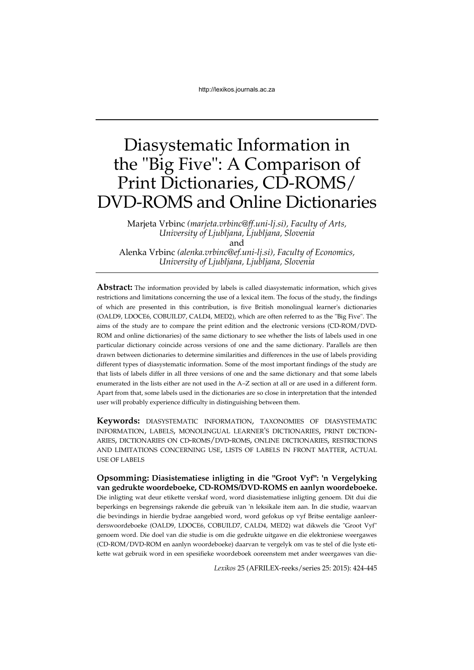# Diasystematic Information in the "Big Five": A Comparison of Print Dictionaries, CD-ROMS/ DVD-ROMS and Online Dictionaries

Marjeta Vrbinc *(marjeta.vrbinc@ff.uni-lj.si), Faculty of Arts, University of Ljubljana, Ljubljana, Slovenia* and

Alenka Vrbinc *(alenka.vrbinc@ef.uni-lj.si), Faculty of Economics, University of Ljubljana, Ljubljana, Slovenia* 

**Abstract:** The information provided by labels is called diasystematic information, which gives restrictions and limitations concerning the use of a lexical item. The focus of the study, the findings of which are presented in this contribution, is five British monolingual learner's dictionaries (OALD9, LDOCE6, COBUILD7, CALD4, MED2), which are often referred to as the "Big Five". The aims of the study are to compare the print edition and the electronic versions (CD-ROM/DVD-ROM and online dictionaries) of the same dictionary to see whether the lists of labels used in one particular dictionary coincide across versions of one and the same dictionary. Parallels are then drawn between dictionaries to determine similarities and differences in the use of labels providing different types of diasystematic information. Some of the most important findings of the study are that lists of labels differ in all three versions of one and the same dictionary and that some labels enumerated in the lists either are not used in the A–Z section at all or are used in a different form. Apart from that, some labels used in the dictionaries are so close in interpretation that the intended user will probably experience difficulty in distinguishing between them.

**Keywords:** DIASYSTEMATIC INFORMATION, TAXONOMIES OF DIASYSTEMATIC INFORMATION, LABELS, MONOLINGUAL LEARNER'S DICTIONARIES, PRINT DICTION-ARIES, DICTIONARIES ON CD-ROMS/DVD-ROMS, ONLINE DICTIONARIES, RESTRICTIONS AND LIMITATIONS CONCERNING USE, LISTS OF LABELS IN FRONT MATTER, ACTUAL USE OF LABELS

**Opsomming: Diasistematiese inligting in die "Groot Vyf": 'n Vergelyking van gedrukte woordeboeke, CD-ROMS/DVD-ROMS en aanlyn woordeboeke.** Die inligting wat deur etikette verskaf word, word diasistematiese inligting genoem. Dit dui die beperkings en begrensings rakende die gebruik van 'n leksikale item aan. In die studie, waarvan die bevindings in hierdie bydrae aangebied word, word gefokus op vyf Britse eentalige aanleerderswoordeboeke (OALD9, LDOCE6, COBUILD7, CALD4, MED2) wat dikwels die "Groot Vyf" genoem word. Die doel van die studie is om die gedrukte uitgawe en die elektroniese weergawes (CD-ROM/DVD-ROM en aanlyn woordeboeke) daarvan te vergelyk om vas te stel of die lyste etikette wat gebruik word in een spesifieke woordeboek ooreenstem met ander weergawes van die-

*Lexikos* 25 (AFRILEX-reeks/series 25: 2015): 424-445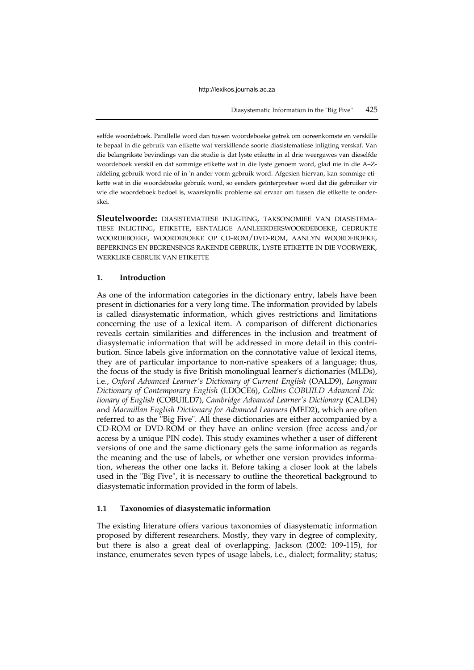selfde woordeboek. Parallelle word dan tussen woordeboeke getrek om ooreenkomste en verskille te bepaal in die gebruik van etikette wat verskillende soorte diasistematiese inligting verskaf. Van die belangrikste bevindings van die studie is dat lyste etikette in al drie weergawes van dieselfde woordeboek verskil en dat sommige etikette wat in die lyste genoem word, glad nie in die A–Zafdeling gebruik word nie of in 'n ander vorm gebruik word. Afgesien hiervan, kan sommige etikette wat in die woordeboeke gebruik word, so eenders geïnterpreteer word dat die gebruiker vir wie die woordeboek bedoel is, waarskynlik probleme sal ervaar om tussen die etikette te onderskei.

**Sleutelwoorde:** DIASISTEMATIESE INLIGTING, TAKSONOMIEË VAN DIASISTEMA-TIESE INLIGTING, ETIKETTE, EENTALIGE AANLEERDERSWOORDEBOEKE, GEDRUKTE WOORDEBOEKE, WOORDEBOEKE OP CD-ROM/DVD-ROM, AANLYN WOORDEBOEKE, BEPERKINGS EN BEGRENSINGS RAKENDE GEBRUIK, LYSTE ETIKETTE IN DIE VOORWERK, WERKLIKE GEBRUIK VAN ETIKETTE

## **1. Introduction**

As one of the information categories in the dictionary entry, labels have been present in dictionaries for a very long time. The information provided by labels is called diasystematic information, which gives restrictions and limitations concerning the use of a lexical item. A comparison of different dictionaries reveals certain similarities and differences in the inclusion and treatment of diasystematic information that will be addressed in more detail in this contribution. Since labels give information on the connotative value of lexical items, they are of particular importance to non-native speakers of a language; thus, the focus of the study is five British monolingual learner's dictionaries (MLDs), i.e., *Oxford Advanced Learner's Dictionary of Current English* (OALD9), *Longman Dictionary of Contemporary English* (LDOCE6), *Collins COBUILD Advanced Dictionary of English* (COBUILD7), *Cambridge Advanced Learner's Dictionary* (CALD4) and *Macmillan English Dictionary for Advanced Learners* (MED2), which are often referred to as the "Big Five". All these dictionaries are either accompanied by a CD-ROM or DVD-ROM or they have an online version (free access and/or access by a unique PIN code). This study examines whether a user of different versions of one and the same dictionary gets the same information as regards the meaning and the use of labels, or whether one version provides information, whereas the other one lacks it. Before taking a closer look at the labels used in the "Big Five", it is necessary to outline the theoretical background to diasystematic information provided in the form of labels.

# **1.1 Taxonomies of diasystematic information**

The existing literature offers various taxonomies of diasystematic information proposed by different researchers. Mostly, they vary in degree of complexity, but there is also a great deal of overlapping. Jackson (2002: 109-115), for instance, enumerates seven types of usage labels, i.e., dialect; formality; status;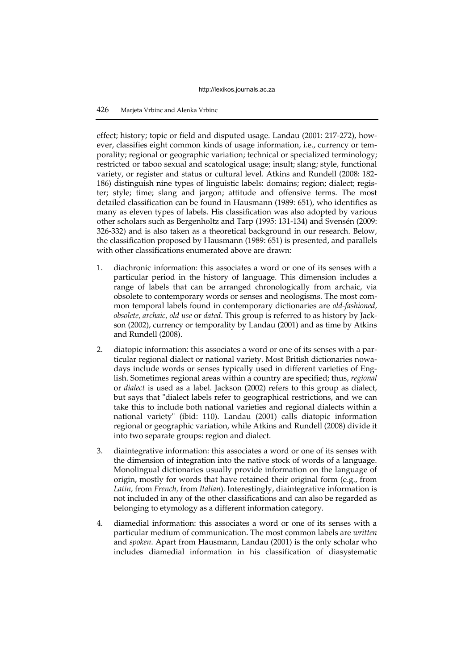effect; history; topic or field and disputed usage. Landau (2001: 217-272), however, classifies eight common kinds of usage information, i.e., currency or temporality; regional or geographic variation; technical or specialized terminology; restricted or taboo sexual and scatological usage; insult; slang; style, functional variety, or register and status or cultural level. Atkins and Rundell (2008: 182- 186) distinguish nine types of linguistic labels: domains; region; dialect; register; style; time; slang and jargon; attitude and offensive terms. The most detailed classification can be found in Hausmann (1989: 651), who identifies as many as eleven types of labels. His classification was also adopted by various other scholars such as Bergenholtz and Tarp (1995: 131-134) and Svensén (2009: 326-332) and is also taken as a theoretical background in our research. Below, the classification proposed by Hausmann (1989: 651) is presented, and parallels with other classifications enumerated above are drawn:

- 1. diachronic information: this associates a word or one of its senses with a particular period in the history of language. This dimension includes a range of labels that can be arranged chronologically from archaic, via obsolete to contemporary words or senses and neologisms. The most common temporal labels found in contemporary dictionaries are *old-fashioned, obsolete, archaic, old use* or *dated*. This group is referred to as history by Jackson (2002), currency or temporality by Landau (2001) and as time by Atkins and Rundell (2008).
- 2. diatopic information: this associates a word or one of its senses with a particular regional dialect or national variety. Most British dictionaries nowadays include words or senses typically used in different varieties of English. Sometimes regional areas within a country are specified; thus, *regional* or *dialect* is used as a label. Jackson (2002) refers to this group as dialect, but says that "dialect labels refer to geographical restrictions, and we can take this to include both national varieties and regional dialects within a national variety" (ibid: 110). Landau (2001) calls diatopic information regional or geographic variation, while Atkins and Rundell (2008) divide it into two separate groups: region and dialect.
- 3. diaintegrative information: this associates a word or one of its senses with the dimension of integration into the native stock of words of a language. Monolingual dictionaries usually provide information on the language of origin, mostly for words that have retained their original form (e.g., from *Latin,* from *French,* from *Italian*). Interestingly, diaintegrative information is not included in any of the other classifications and can also be regarded as belonging to etymology as a different information category.
- 4. diamedial information: this associates a word or one of its senses with a particular medium of communication. The most common labels are *written* and *spoken*. Apart from Hausmann, Landau (2001) is the only scholar who includes diamedial information in his classification of diasystematic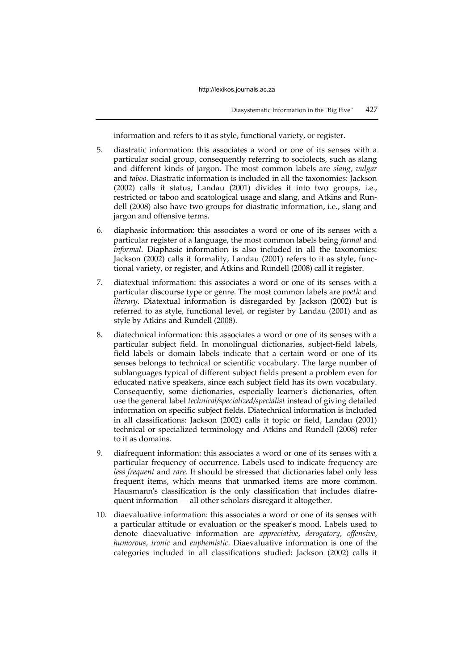information and refers to it as style, functional variety, or register.

- 5. diastratic information: this associates a word or one of its senses with a particular social group, consequently referring to sociolects, such as slang and different kinds of jargon. The most common labels are *slang, vulgar*  and *taboo*. Diastratic information is included in all the taxonomies: Jackson (2002) calls it status, Landau (2001) divides it into two groups, i.e., restricted or taboo and scatological usage and slang, and Atkins and Rundell (2008) also have two groups for diastratic information, i.e., slang and jargon and offensive terms.
- 6. diaphasic information: this associates a word or one of its senses with a particular register of a language, the most common labels being *formal* and *informal*. Diaphasic information is also included in all the taxonomies: Jackson (2002) calls it formality, Landau (2001) refers to it as style, functional variety, or register, and Atkins and Rundell (2008) call it register.
- 7. diatextual information: this associates a word or one of its senses with a particular discourse type or genre. The most common labels are *poetic* and *literary*. Diatextual information is disregarded by Jackson (2002) but is referred to as style, functional level, or register by Landau (2001) and as style by Atkins and Rundell (2008).
- 8. diatechnical information: this associates a word or one of its senses with a particular subject field. In monolingual dictionaries, subject-field labels, field labels or domain labels indicate that a certain word or one of its senses belongs to technical or scientific vocabulary. The large number of sublanguages typical of different subject fields present a problem even for educated native speakers, since each subject field has its own vocabulary. Consequently, some dictionaries, especially learner's dictionaries, often use the general label *technical/specialized/specialist* instead of giving detailed information on specific subject fields. Diatechnical information is included in all classifications: Jackson (2002) calls it topic or field, Landau (2001) technical or specialized terminology and Atkins and Rundell (2008) refer to it as domains.
- 9. diafrequent information: this associates a word or one of its senses with a particular frequency of occurrence. Labels used to indicate frequency are *less frequent* and *rare*. It should be stressed that dictionaries label only less frequent items, which means that unmarked items are more common. Hausmann's classification is the only classification that includes diafrequent information — all other scholars disregard it altogether.
- 10. diaevaluative information: this associates a word or one of its senses with a particular attitude or evaluation or the speaker's mood. Labels used to denote diaevaluative information are *appreciative, derogatory, offensive, humorous, ironic* and *euphemistic*. Diaevaluative information is one of the categories included in all classifications studied: Jackson (2002) calls it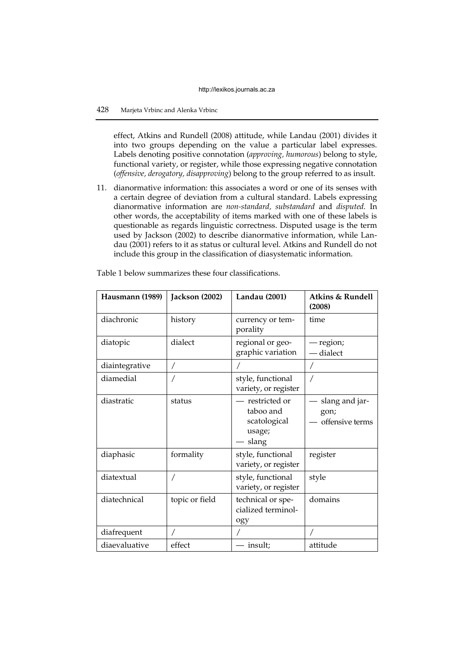effect, Atkins and Rundell (2008) attitude, while Landau (2001) divides it into two groups depending on the value a particular label expresses. Labels denoting positive connotation (*approving, humorous*) belong to style, functional variety, or register, while those expressing negative connotation (*offensive, derogatory, disapproving*) belong to the group referred to as insult.

11. dianormative information: this associates a word or one of its senses with a certain degree of deviation from a cultural standard. Labels expressing dianormative information are *non-standard, substandard* and *disputed.* In other words, the acceptability of items marked with one of these labels is questionable as regards linguistic correctness. Disputed usage is the term used by Jackson (2002) to describe dianormative information, while Landau (2001) refers to it as status or cultural level. Atkins and Rundell do not include this group in the classification of diasystematic information.

| Hausmann (1989) | Jackson (2002) | <b>Landau</b> (2001)                                            | Atkins & Rundell<br>(2008)                |
|-----------------|----------------|-----------------------------------------------------------------|-------------------------------------------|
| diachronic      | history        | currency or tem-<br>porality                                    | time                                      |
| diatopic        | dialect        | regional or geo-<br>graphic variation                           | - region;<br>dialect                      |
| diaintegrative  | Τ              |                                                                 |                                           |
| diamedial       |                | style, functional<br>variety, or register                       |                                           |
| diastratic      | status         | - restricted or<br>taboo and<br>scatological<br>usage;<br>slang | slang and jar-<br>gon;<br>offensive terms |
| diaphasic       | formality      | style, functional<br>variety, or register                       | register                                  |
| diatextual      |                | style, functional<br>variety, or register                       | style                                     |
| diatechnical    | topic or field | technical or spe-<br>cialized terminol-<br>ogy                  | domains                                   |
| diafrequent     |                |                                                                 |                                           |
| diaevaluative   | effect         | - insult;                                                       | attitude                                  |

Table 1 below summarizes these four classifications.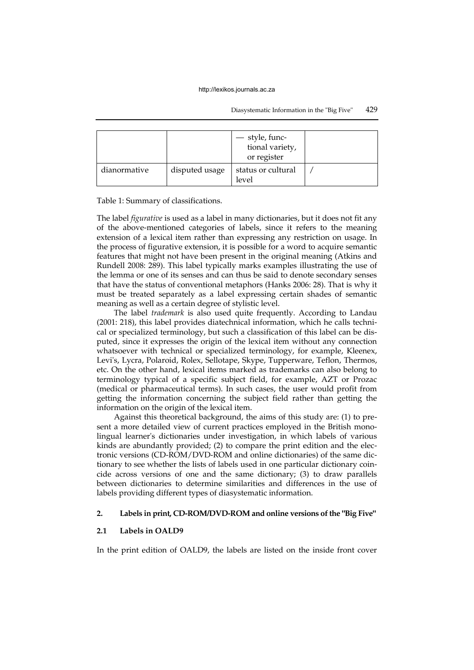#### Diasystematic Information in the "Big Five" 429

|              |                | - style, func-<br>tional variety,<br>or register |  |
|--------------|----------------|--------------------------------------------------|--|
| dianormative | disputed usage | status or cultural<br>level                      |  |

Table 1: Summary of classifications.

The label *figurative* is used as a label in many dictionaries, but it does not fit any of the above-mentioned categories of labels, since it refers to the meaning extension of a lexical item rather than expressing any restriction on usage. In the process of figurative extension, it is possible for a word to acquire semantic features that might not have been present in the original meaning (Atkins and Rundell 2008: 289). This label typically marks examples illustrating the use of the lemma or one of its senses and can thus be said to denote secondary senses that have the status of conventional metaphors (Hanks 2006: 28). That is why it must be treated separately as a label expressing certain shades of semantic meaning as well as a certain degree of stylistic level.

The label *trademark* is also used quite frequently. According to Landau (2001: 218), this label provides diatechnical information, which he calls technical or specialized terminology, but such a classification of this label can be disputed, since it expresses the origin of the lexical item without any connection whatsoever with technical or specialized terminology, for example, Kleenex, Levi's, Lycra, Polaroid, Rolex, Sellotape, Skype, Tupperware, Teflon, Thermos, etc. On the other hand, lexical items marked as trademarks can also belong to terminology typical of a specific subject field, for example, AZT or Prozac (medical or pharmaceutical terms). In such cases, the user would profit from getting the information concerning the subject field rather than getting the information on the origin of the lexical item.

Against this theoretical background, the aims of this study are: (1) to present a more detailed view of current practices employed in the British monolingual learner's dictionaries under investigation, in which labels of various kinds are abundantly provided; (2) to compare the print edition and the electronic versions (CD-ROM/DVD-ROM and online dictionaries) of the same dictionary to see whether the lists of labels used in one particular dictionary coincide across versions of one and the same dictionary; (3) to draw parallels between dictionaries to determine similarities and differences in the use of labels providing different types of diasystematic information.

#### **2. Labels in print, CD-ROM/DVD-ROM and online versions of the "Big Five"**

#### **2.1 Labels in OALD9**

In the print edition of OALD9, the labels are listed on the inside front cover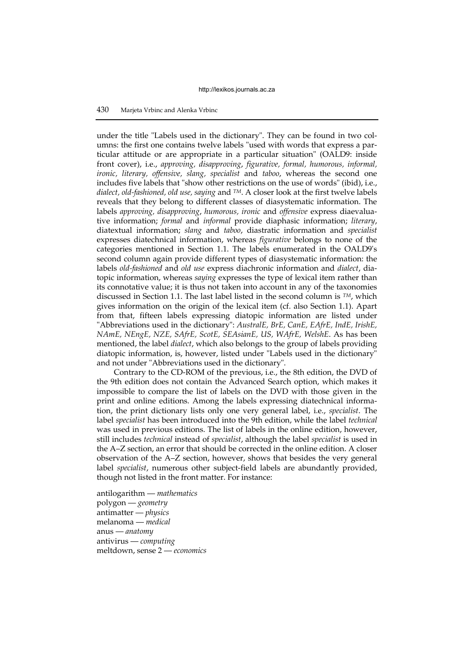under the title "Labels used in the dictionary". They can be found in two columns: the first one contains twelve labels "used with words that express a particular attitude or are appropriate in a particular situation" (OALD9: inside front cover), i.e., *approving, disapproving*, *figurative, formal, humorous, informal, ironic, literary, offensive, slang, specialist* and *taboo*, whereas the second one includes five labels that "show other restrictions on the use of words" (ibid), i.e., *dialect, old-fashioned, old use, saying* and *TM*. A closer look at the first twelve labels reveals that they belong to different classes of diasystematic information. The labels *approving, disapproving*, *humorous, ironic* and *offensive* express diaevaluative information; *formal* and *informal* provide diaphasic information; *literary*, diatextual information; *slang* and *taboo*, diastratic information and *specialist*  expresses diatechnical information, whereas *figurative* belongs to none of the categories mentioned in Section 1.1. The labels enumerated in the OALD9's second column again provide different types of diasystematic information: the labels *old-fashioned* and *old use* express diachronic information and *dialect*, diatopic information, whereas *saying* expresses the type of lexical item rather than its connotative value; it is thus not taken into account in any of the taxonomies discussed in Section 1.1. The last label listed in the second column is *TM*, which gives information on the origin of the lexical item (cf. also Section 1.1). Apart from that, fifteen labels expressing diatopic information are listed under "Abbreviations used in the dictionary": *AustralE, BrE, CanE, EAfrE, IndE, IrishE, NAmE, NEngE, NZE, SAfrE, ScotE, SEAsianE, US, WAfrE, WelshE*. As has been mentioned, the label *dialect*, which also belongs to the group of labels providing diatopic information, is, however, listed under "Labels used in the dictionary" and not under "Abbreviations used in the dictionary".

Contrary to the CD-ROM of the previous, i.e., the 8th edition, the DVD of the 9th edition does not contain the Advanced Search option, which makes it impossible to compare the list of labels on the DVD with those given in the print and online editions. Among the labels expressing diatechnical information, the print dictionary lists only one very general label, i.e., *specialist*. The label *specialist* has been introduced into the 9th edition, while the label *technical*  was used in previous editions. The list of labels in the online edition, however, still includes *technical* instead of *specialist*, although the label *specialist* is used in the A–Z section, an error that should be corrected in the online edition. A closer observation of the A–Z section, however, shows that besides the very general label *specialist*, numerous other subject-field labels are abundantly provided, though not listed in the front matter. For instance:

antilogarithm — *mathematics* polygon — *geometry* antimatter — *physics* melanoma — *medical* anus — *anatomy* antivirus — *computing* meltdown, sense 2 — *economics*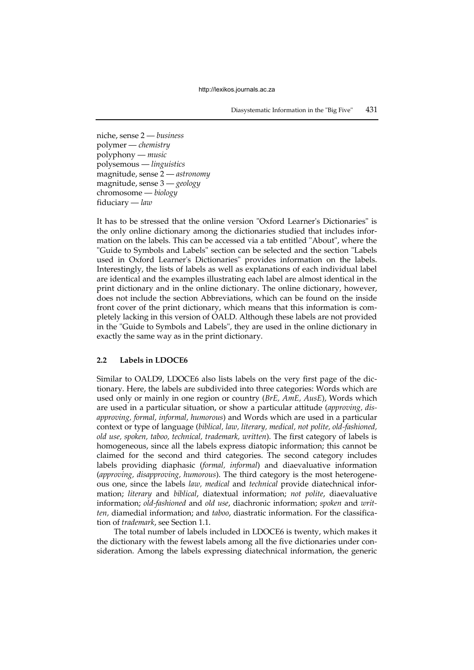niche, sense 2 — *business* polymer — *chemistry* polyphony — *music* polysemous — *linguistics* magnitude, sense 2 — *astronomy* magnitude, sense 3 — *geology* chromosome — *biology* fiduciary — *law*

It has to be stressed that the online version "Oxford Learner's Dictionaries" is the only online dictionary among the dictionaries studied that includes information on the labels. This can be accessed via a tab entitled "About", where the "Guide to Symbols and Labels" section can be selected and the section "Labels used in Oxford Learner's Dictionaries" provides information on the labels. Interestingly, the lists of labels as well as explanations of each individual label are identical and the examples illustrating each label are almost identical in the print dictionary and in the online dictionary. The online dictionary, however, does not include the section Abbreviations, which can be found on the inside front cover of the print dictionary, which means that this information is completely lacking in this version of OALD. Although these labels are not provided in the "Guide to Symbols and Labels", they are used in the online dictionary in exactly the same way as in the print dictionary.

## **2.2 Labels in LDOCE6**

Similar to OALD9, LDOCE6 also lists labels on the very first page of the dictionary. Here, the labels are subdivided into three categories: Words which are used only or mainly in one region or country (*BrE, AmE, AusE*), Words which are used in a particular situation, or show a particular attitude (*approving, disapproving, formal, informal, humorous*) and Words which are used in a particular context or type of language (*biblical, law, literary, medical, not polite, old-fashioned, old use, spoken, taboo, technical, trademark, written*). The first category of labels is homogeneous, since all the labels express diatopic information; this cannot be claimed for the second and third categories. The second category includes labels providing diaphasic (*formal, informal*) and diaevaluative information (*approving, disapproving, humorous*). The third category is the most heterogeneous one, since the labels *law, medical* and *technical* provide diatechnical information; *literary* and *biblical*, diatextual information; *not polite*, diaevaluative information; *old-fashioned* and *old use*, diachronic information; *spoken* and *written,* diamedial information; and *taboo*, diastratic information. For the classification of *trademark*, see Section 1.1.

The total number of labels included in LDOCE6 is twenty, which makes it the dictionary with the fewest labels among all the five dictionaries under consideration. Among the labels expressing diatechnical information, the generic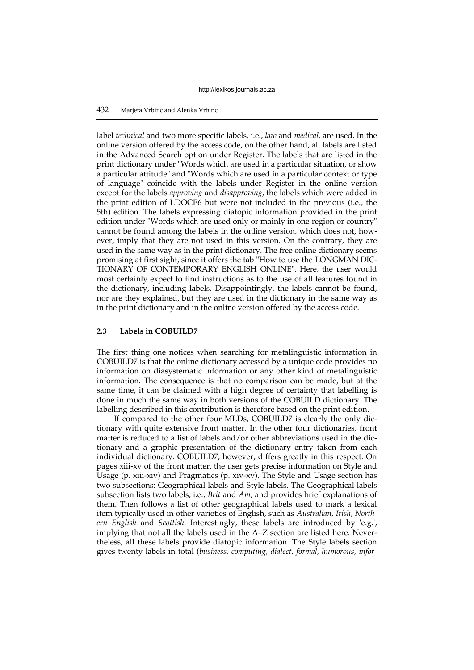label *technical* and two more specific labels, i.e., *law* and *medical*, are used. In the online version offered by the access code, on the other hand, all labels are listed in the Advanced Search option under Register. The labels that are listed in the print dictionary under "Words which are used in a particular situation, or show a particular attitude" and "Words which are used in a particular context or type of language" coincide with the labels under Register in the online version except for the labels *approving* and *disapproving*, the labels which were added in the print edition of LDOCE6 but were not included in the previous (i.e., the 5th) edition. The labels expressing diatopic information provided in the print edition under "Words which are used only or mainly in one region or country" cannot be found among the labels in the online version, which does not, however, imply that they are not used in this version. On the contrary, they are used in the same way as in the print dictionary. The free online dictionary seems promising at first sight, since it offers the tab "How to use the LONGMAN DIC-TIONARY OF CONTEMPORARY ENGLISH ONLINE". Here, the user would most certainly expect to find instructions as to the use of all features found in the dictionary, including labels. Disappointingly, the labels cannot be found, nor are they explained, but they are used in the dictionary in the same way as in the print dictionary and in the online version offered by the access code.

# **2.3 Labels in COBUILD7**

The first thing one notices when searching for metalinguistic information in COBUILD7 is that the online dictionary accessed by a unique code provides no information on diasystematic information or any other kind of metalinguistic information. The consequence is that no comparison can be made, but at the same time, it can be claimed with a high degree of certainty that labelling is done in much the same way in both versions of the COBUILD dictionary. The labelling described in this contribution is therefore based on the print edition.

If compared to the other four MLDs, COBUILD7 is clearly the only dictionary with quite extensive front matter. In the other four dictionaries, front matter is reduced to a list of labels and/or other abbreviations used in the dictionary and a graphic presentation of the dictionary entry taken from each individual dictionary. COBUILD7, however, differs greatly in this respect. On pages xiii-xv of the front matter, the user gets precise information on Style and Usage (p. xiii-xiv) and Pragmatics (p. xiv-xv). The Style and Usage section has two subsections: Geographical labels and Style labels. The Geographical labels subsection lists two labels, i.e., *Brit* and *Am*, and provides brief explanations of them. Then follows a list of other geographical labels used to mark a lexical item typically used in other varieties of English, such as *Australian, Irish, Northern English* and *Scottish*. Interestingly, these labels are introduced by 'e.g.', implying that not all the labels used in the A–Z section are listed here. Nevertheless, all these labels provide diatopic information. The Style labels section gives twenty labels in total (*business, computing, dialect, formal, humorous, infor-*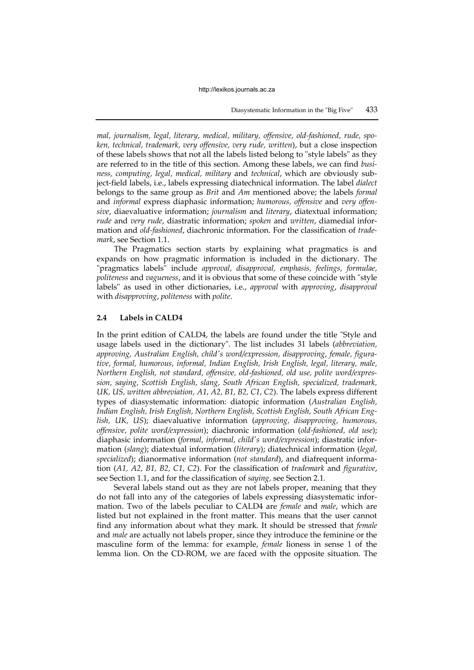*mal, journalism, legal, literary, medical, military, offensive, old-fashioned, rude, spoken, technical, trademark, very offensive, very rude, written*), but a close inspection of these labels shows that not all the labels listed belong to "style labels" as they are referred to in the title of this section. Among these labels, we can find *business, computing, legal, medical, military* and *technical*, which are obviously subject-field labels, i.e., labels expressing diatechnical information. The label *dialect* belongs to the same group as *Brit* and *Am* mentioned above; the labels *formal* and *informal* express diaphasic information; *humorous, offensive* and *very offensive*, diaevaluative information; *journalism* and *literary*, diatextual information; *rude* and *very rude*, diastratic information; *spoken* and *written*, diamedial information and *old-fashioned*, diachronic information. For the classification of *trademark*, see Section 1.1.

The Pragmatics section starts by explaining what pragmatics is and expands on how pragmatic information is included in the dictionary. The "pragmatics labels" include *approval, disapproval, emphasis, feelings, formulae, politeness* and *vagueness*, and it is obvious that some of these coincide with "style labels" as used in other dictionaries, i.e., *approval* with *approving*, *disapproval* with *disapproving*, *politeness* with *polite*.

## **2.4 Labels in CALD4**

In the print edition of CALD4, the labels are found under the title "Style and usage labels used in the dictionary". The list includes 31 labels (*abbreviation, approving, Australian English, child's word/expression, disapproving, female, figurative, formal, humorous, informal, Indian English, Irish English, legal, literary, male, Northern English, not standard, offensive, old-fashioned, old use, polite word/expression, saying, Scottish English, slang, South African English, specialized, trademark, UK, US, written abbreviation, A1, A2, B1, B2, C1, C2*). The labels express different types of diasystematic information: diatopic information (*Australian English, Indian English, Irish English, Northern English, Scottish English, South African English, UK, US*); diaevaluative information (*approving, disapproving, humorous, offensive, polite word/expression*); diachronic information (*old-fashioned, old use*); diaphasic information (*formal, informal, child's word/expression*); diastratic information (*slang*); diatextual information (*literary*); diatechnical information (*legal, specialized*); dianormative information (*not standard*), and diafrequent information (*A1, A2, B1, B2, C1, C2*). For the classification of *trademark* and *figurative*, see Section 1.1, and for the classification of *saying,* see Section 2.1.

Several labels stand out as they are not labels proper, meaning that they do not fall into any of the categories of labels expressing diasystematic information. Two of the labels peculiar to CALD4 are *female* and *male*, which are listed but not explained in the front matter. This means that the user cannot find any information about what they mark. It should be stressed that *female*  and *male* are actually not labels proper, since they introduce the feminine or the masculine form of the lemma: for example, *female* lioness in sense 1 of the lemma lion. On the CD-ROM, we are faced with the opposite situation. The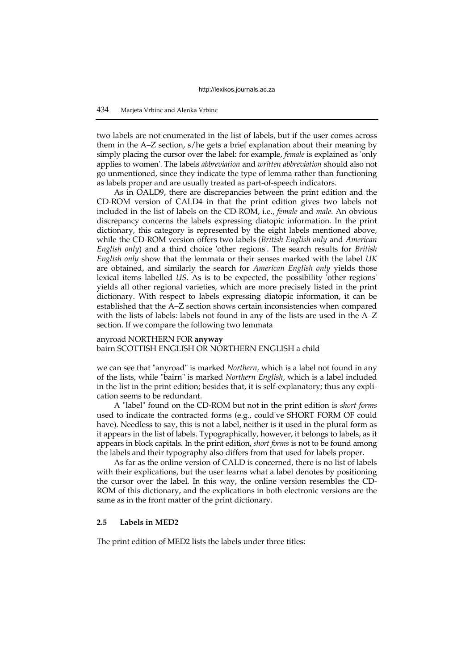two labels are not enumerated in the list of labels, but if the user comes across them in the A–Z section, s/he gets a brief explanation about their meaning by simply placing the cursor over the label: for example, *female* is explained as 'only applies to women'. The labels *abbreviation* and *written abbreviation* should also not go unmentioned, since they indicate the type of lemma rather than functioning as labels proper and are usually treated as part-of-speech indicators.

As in OALD9, there are discrepancies between the print edition and the CD-ROM version of CALD4 in that the print edition gives two labels not included in the list of labels on the CD-ROM, i.e., *female* and *male*. An obvious discrepancy concerns the labels expressing diatopic information. In the print dictionary, this category is represented by the eight labels mentioned above, while the CD-ROM version offers two labels (*British English only* and *American English only*) and a third choice 'other regions'. The search results for *British English only* show that the lemmata or their senses marked with the label *UK* are obtained, and similarly the search for *American English only* yields those lexical items labelled *US*. As is to be expected, the possibility 'other regions' yields all other regional varieties, which are more precisely listed in the print dictionary. With respect to labels expressing diatopic information, it can be established that the A–Z section shows certain inconsistencies when compared with the lists of labels: labels not found in any of the lists are used in the A–Z section. If we compare the following two lemmata

## anyroad NORTHERN FOR **anyway** bairn SCOTTISH ENGLISH OR NORTHERN ENGLISH a child

we can see that "anyroad" is marked *Northern,* which is a label not found in any of the lists, while "bairn" is marked *Northern English*, which is a label included in the list in the print edition; besides that, it is self-explanatory; thus any explication seems to be redundant.

A "label" found on the CD-ROM but not in the print edition is *short forms* used to indicate the contracted forms (e.g., could've SHORT FORM OF could have). Needless to say, this is not a label, neither is it used in the plural form as it appears in the list of labels. Typographically, however, it belongs to labels, as it appears in block capitals. In the print edition, *short forms* is not to be found among the labels and their typography also differs from that used for labels proper.

As far as the online version of CALD is concerned, there is no list of labels with their explications, but the user learns what a label denotes by positioning the cursor over the label. In this way, the online version resembles the CD-ROM of this dictionary, and the explications in both electronic versions are the same as in the front matter of the print dictionary.

## **2.5 Labels in MED2**

The print edition of MED2 lists the labels under three titles: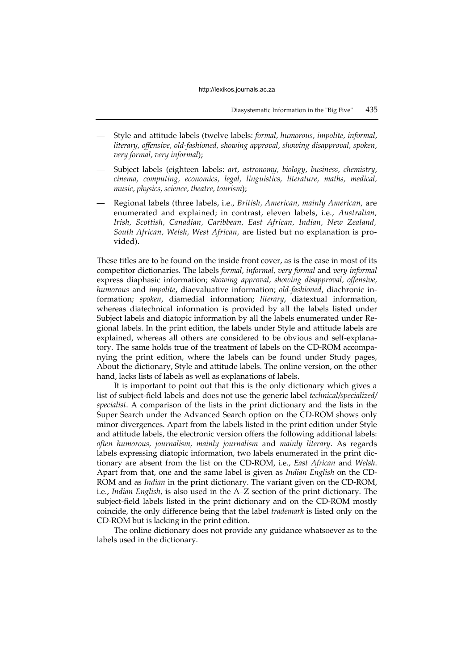- Style and attitude labels (twelve labels: *formal, humorous, impolite, informal, literary, offensive, old-fashioned, showing approval, showing disapproval, spoken, very formal, very informal*);
- Subject labels (eighteen labels: *art, astronomy, biology, business, chemistry, cinema, computing, economics, legal, linguistics, literature, maths, medical, music, physics, science, theatre, tourism*);
- Regional labels (three labels, i.e., *British, American, mainly American,* are enumerated and explained; in contrast, eleven labels, i.e., *Australian, Irish, Scottish, Canadian, Caribbean, East African, Indian, New Zealand, South African, Welsh, West African,* are listed but no explanation is provided).

These titles are to be found on the inside front cover, as is the case in most of its competitor dictionaries. The labels *formal, informal, very formal* and *very informal* express diaphasic information; *showing approval, showing disapproval, offensive, humorous* and *impolite*, diaevaluative information; *old-fashioned*, diachronic information; *spoken*, diamedial information; *literary*, diatextual information, whereas diatechnical information is provided by all the labels listed under Subject labels and diatopic information by all the labels enumerated under Regional labels. In the print edition, the labels under Style and attitude labels are explained, whereas all others are considered to be obvious and self-explanatory. The same holds true of the treatment of labels on the CD-ROM accompanying the print edition, where the labels can be found under Study pages, About the dictionary, Style and attitude labels. The online version, on the other hand, lacks lists of labels as well as explanations of labels.

It is important to point out that this is the only dictionary which gives a list of subject-field labels and does not use the generic label *technical/specialized/ specialist*. A comparison of the lists in the print dictionary and the lists in the Super Search under the Advanced Search option on the CD-ROM shows only minor divergences. Apart from the labels listed in the print edition under Style and attitude labels, the electronic version offers the following additional labels: *often humorous, journalism, mainly journalism* and *mainly literary*. As regards labels expressing diatopic information, two labels enumerated in the print dictionary are absent from the list on the CD-ROM, i.e., *East African* and *Welsh*. Apart from that, one and the same label is given as *Indian English* on the CD-ROM and as *Indian* in the print dictionary. The variant given on the CD-ROM, i.e., *Indian English*, is also used in the A–Z section of the print dictionary. The subject-field labels listed in the print dictionary and on the CD-ROM mostly coincide, the only difference being that the label *trademark* is listed only on the CD-ROM but is lacking in the print edition.

The online dictionary does not provide any guidance whatsoever as to the labels used in the dictionary.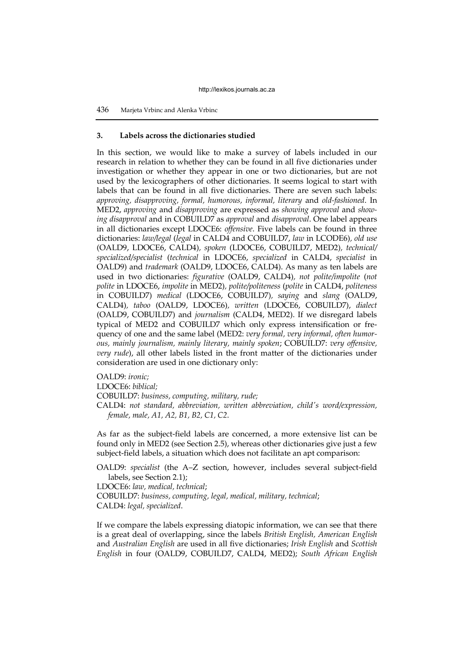#### **3. Labels across the dictionaries studied**

In this section, we would like to make a survey of labels included in our research in relation to whether they can be found in all five dictionaries under investigation or whether they appear in one or two dictionaries, but are not used by the lexicographers of other dictionaries. It seems logical to start with labels that can be found in all five dictionaries. There are seven such labels: *approving, disapproving, formal, humorous, informal, literary* and *old-fashioned*. In MED2, *approving* and *disapproving* are expressed as *showing approval* and *showing disapproval* and in COBUILD7 as *approval* and *disapproval*. One label appears in all dictionaries except LDOCE6: *offensive*. Five labels can be found in three dictionaries: *law/legal* (*legal* in CALD4 and COBUILD7, *law* in LCODE6)*, old use*  (OALD9, LDOCE6, CALD4)*, spoken* (LDOCE6, COBUILD7, MED2)*, technical/ specialized/specialist* (*technical* in LDOCE6, *specialized* in CALD4, *specialist* in OALD9) and *trademark* (OALD9, LDOCE6, CALD4). As many as ten labels are used in two dictionaries: *figurative* (OALD9, CALD4)*, not polite/impolite* (*not polite* in LDOCE6, *impolite* in MED2)*, polite/politeness* (*polite* in CALD4, *politeness* in COBUILD7) *medical* (LDOCE6, COBUILD7)*, saying* and *slang* (OALD9, CALD4)*, taboo* (OALD9, LDOCE6)*, written* (LDOCE6, COBUILD7), *dialect* (OALD9, COBUILD7) and *journalism* (CALD4, MED2). If we disregard labels typical of MED2 and COBUILD7 which only express intensification or frequency of one and the same label (MED2: *very formal, very informal, often humorous, mainly journalism, mainly literary, mainly spoken*; COBUILD7: *very offensive, very rude*), all other labels listed in the front matter of the dictionaries under consideration are used in one dictionary only:

OALD9: *ironic;*

LDOCE6: *biblical;*

COBUILD7: *business, computing, military, rude;*

CALD4: *not standard, abbreviation, written abbreviation, child's word/expression, female, male, A1, A2, B1, B2, C1, C2*.

As far as the subject-field labels are concerned, a more extensive list can be found only in MED2 (see Section 2.5), whereas other dictionaries give just a few subject-field labels, a situation which does not facilitate an apt comparison:

OALD9: *specialist* (the A–Z section, however, includes several subject-field labels, see Section 2.1);

LDOCE6: *law, medical, technical*;

COBUILD7: *business, computing, legal, medical, military, technical*; CALD4: *legal, specialized*.

If we compare the labels expressing diatopic information, we can see that there is a great deal of overlapping, since the labels *British English, American English*  and *Australian English* are used in all five dictionaries; *Irish English* and *Scottish English* in four (OALD9, COBUILD7, CALD4, MED2); *South African English*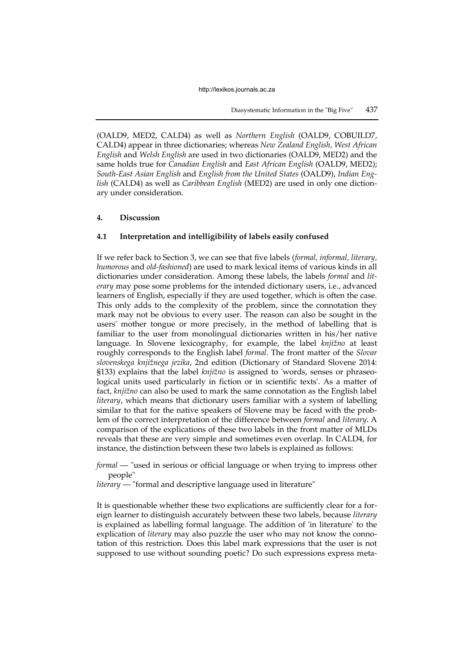(OALD9, MED2, CALD4) as well as *Northern English* (OALD9, COBUILD7, CALD4) appear in three dictionaries; whereas *New Zealand English, West African English* and *Welsh English* are used in two dictionaries (OALD9, MED2) and the same holds true for *Canadian English* and *East African English* (OALD9, MED2); *South-East Asian English* and *English from the United States* (OALD9), *Indian English* (CALD4) as well as *Caribbean English* (MED2) are used in only one dictionary under consideration.

# **4. Discussion**

## **4.1 Interpretation and intelligibility of labels easily confused**

If we refer back to Section 3, we can see that five labels (*formal, informal, literary, humorous* and *old-fashioned*) are used to mark lexical items of various kinds in all dictionaries under consideration. Among these labels, the labels *formal* and *literary* may pose some problems for the intended dictionary users, i.e., advanced learners of English, especially if they are used together, which is often the case. This only adds to the complexity of the problem, since the connotation they mark may not be obvious to every user. The reason can also be sought in the users' mother tongue or more precisely, in the method of labelling that is familiar to the user from monolingual dictionaries written in his/her native language. In Slovene lexicography, for example, the label *knjižno* at least roughly corresponds to the English label *formal*. The front matter of the *Slovar slovenskega knjižnega jezika*, 2nd edition (Dictionary of Standard Slovene 2014: §133) explains that the label *knjižno* is assigned to 'words, senses or phraseological units used particularly in fiction or in scientific texts'. As a matter of fact, *knjižno* can also be used to mark the same connotation as the English label *literary*, which means that dictionary users familiar with a system of labelling similar to that for the native speakers of Slovene may be faced with the problem of the correct interpretation of the difference between *formal* and *literary*. A comparison of the explications of these two labels in the front matter of MLDs reveals that these are very simple and sometimes even overlap. In CALD4, for instance, the distinction between these two labels is explained as follows:

*formal* — "used in serious or official language or when trying to impress other people"

*literary* — "formal and descriptive language used in literature"

It is questionable whether these two explications are sufficiently clear for a foreign learner to distinguish accurately between these two labels, because *literary* is explained as labelling formal language. The addition of 'in literature' to the explication of *literary* may also puzzle the user who may not know the connotation of this restriction. Does this label mark expressions that the user is not supposed to use without sounding poetic? Do such expressions express meta-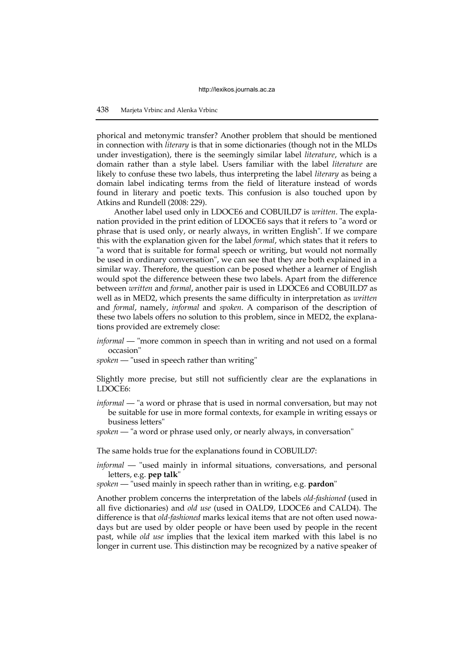phorical and metonymic transfer? Another problem that should be mentioned in connection with *literary* is that in some dictionaries (though not in the MLDs under investigation), there is the seemingly similar label *literature*, which is a domain rather than a style label. Users familiar with the label *literature* are likely to confuse these two labels, thus interpreting the label *literary* as being a domain label indicating terms from the field of literature instead of words found in literary and poetic texts. This confusion is also touched upon by Atkins and Rundell (2008: 229).

Another label used only in LDOCE6 and COBUILD7 is *written*. The explanation provided in the print edition of LDOCE6 says that it refers to "a word or phrase that is used only, or nearly always, in written English". If we compare this with the explanation given for the label *formal*, which states that it refers to "a word that is suitable for formal speech or writing, but would not normally be used in ordinary conversation", we can see that they are both explained in a similar way. Therefore, the question can be posed whether a learner of English would spot the difference between these two labels. Apart from the difference between *written* and *formal*, another pair is used in LDOCE6 and COBUILD7 as well as in MED2, which presents the same difficulty in interpretation as *written*  and *formal*, namely, *informal* and *spoken*. A comparison of the description of these two labels offers no solution to this problem, since in MED2, the explanations provided are extremely close:

- *informal* "more common in speech than in writing and not used on a formal occasion"
- *spoken* "used in speech rather than writing"

Slightly more precise, but still not sufficiently clear are the explanations in LDOCE6:

- *informal* "a word or phrase that is used in normal conversation, but may not be suitable for use in more formal contexts, for example in writing essays or business letters"
- *spoken* "a word or phrase used only, or nearly always, in conversation"

The same holds true for the explanations found in COBUILD7:

- *informal* "used mainly in informal situations, conversations, and personal letters, e.g. **pep talk**"
- *spoken* "used mainly in speech rather than in writing, e.g. **pardon**"

Another problem concerns the interpretation of the labels *old-fashioned* (used in all five dictionaries) and *old use* (used in OALD9, LDOCE6 and CALD4). The difference is that *old-fashioned* marks lexical items that are not often used nowadays but are used by older people or have been used by people in the recent past, while *old use* implies that the lexical item marked with this label is no longer in current use. This distinction may be recognized by a native speaker of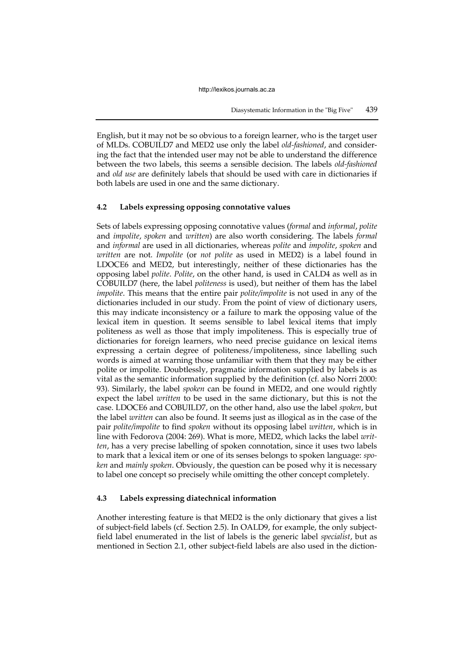English, but it may not be so obvious to a foreign learner, who is the target user of MLDs. COBUILD7 and MED2 use only the label *old-fashioned*, and considering the fact that the intended user may not be able to understand the difference between the two labels, this seems a sensible decision. The labels *old-fashioned*  and *old use* are definitely labels that should be used with care in dictionaries if both labels are used in one and the same dictionary.

## **4.2 Labels expressing opposing connotative values**

Sets of labels expressing opposing connotative values (*formal* and *informal*, *polite*  and *impolite*, *spoken* and *written*) are also worth considering. The labels *formal* and *informal* are used in all dictionaries, whereas *polite* and *impolite*, *spoken* and *written* are not. *Impolite* (or *not polite* as used in MED2) is a label found in LDOCE6 and MED2, but interestingly, neither of these dictionaries has the opposing label *polite*. *Polite*, on the other hand, is used in CALD4 as well as in COBUILD7 (here, the label *politeness* is used), but neither of them has the label *impolite*. This means that the entire pair *polite/impolite* is not used in any of the dictionaries included in our study. From the point of view of dictionary users, this may indicate inconsistency or a failure to mark the opposing value of the lexical item in question. It seems sensible to label lexical items that imply politeness as well as those that imply impoliteness. This is especially true of dictionaries for foreign learners, who need precise guidance on lexical items expressing a certain degree of politeness/impoliteness, since labelling such words is aimed at warning those unfamiliar with them that they may be either polite or impolite. Doubtlessly, pragmatic information supplied by labels is as vital as the semantic information supplied by the definition (cf. also Norri 2000: 93). Similarly, the label *spoken* can be found in MED2, and one would rightly expect the label *written* to be used in the same dictionary, but this is not the case. LDOCE6 and COBUILD7, on the other hand, also use the label *spoken*, but the label *written* can also be found. It seems just as illogical as in the case of the pair *polite/impolite* to find *spoken* without its opposing label *written*, which is in line with Fedorova (2004: 269). What is more, MED2, which lacks the label *written*, has a very precise labelling of spoken connotation, since it uses two labels to mark that a lexical item or one of its senses belongs to spoken language: *spoken* and *mainly spoken*. Obviously, the question can be posed why it is necessary to label one concept so precisely while omitting the other concept completely.

# **4.3 Labels expressing diatechnical information**

Another interesting feature is that MED2 is the only dictionary that gives a list of subject-field labels (cf. Section 2.5). In OALD9, for example, the only subjectfield label enumerated in the list of labels is the generic label *specialist*, but as mentioned in Section 2.1, other subject-field labels are also used in the diction-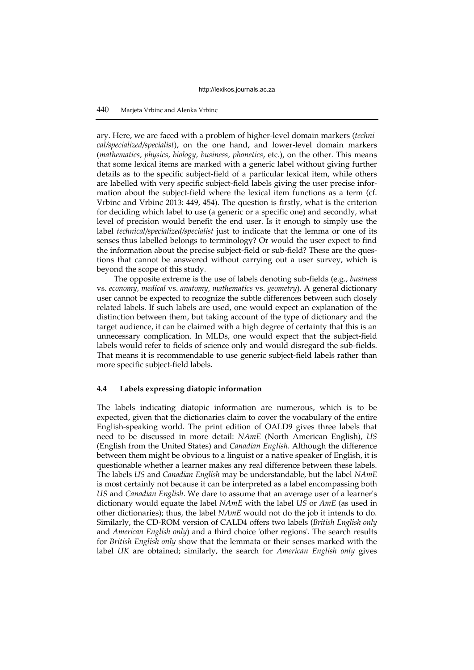## 440 Marjeta Vrbinc and Alenka Vrbinc

ary. Here, we are faced with a problem of higher-level domain markers (*technical/specialized/specialist*), on the one hand, and lower-level domain markers (*mathematics, physics, biology, business, phonetics*, etc.), on the other. This means that some lexical items are marked with a generic label without giving further details as to the specific subject-field of a particular lexical item, while others are labelled with very specific subject-field labels giving the user precise information about the subject-field where the lexical item functions as a term (cf. Vrbinc and Vrbinc 2013: 449, 454). The question is firstly, what is the criterion for deciding which label to use (a generic or a specific one) and secondly, what level of precision would benefit the end user. Is it enough to simply use the label *technical/specialized/specialist* just to indicate that the lemma or one of its senses thus labelled belongs to terminology? Or would the user expect to find the information about the precise subject-field or sub-field? These are the questions that cannot be answered without carrying out a user survey, which is beyond the scope of this study.

The opposite extreme is the use of labels denoting sub-fields (e.g., *business*  vs. *economy, medical* vs. *anatomy, mathematics* vs. *geometry*). A general dictionary user cannot be expected to recognize the subtle differences between such closely related labels. If such labels are used, one would expect an explanation of the distinction between them, but taking account of the type of dictionary and the target audience, it can be claimed with a high degree of certainty that this is an unnecessary complication. In MLDs, one would expect that the subject-field labels would refer to fields of science only and would disregard the sub-fields. That means it is recommendable to use generic subject-field labels rather than more specific subject-field labels.

## **4.4 Labels expressing diatopic information**

The labels indicating diatopic information are numerous, which is to be expected, given that the dictionaries claim to cover the vocabulary of the entire English-speaking world. The print edition of OALD9 gives three labels that need to be discussed in more detail: *NAmE* (North American English), *US* (English from the United States) and *Canadian English*. Although the difference between them might be obvious to a linguist or a native speaker of English, it is questionable whether a learner makes any real difference between these labels. The labels *US* and *Canadian English* may be understandable, but the label *NAmE* is most certainly not because it can be interpreted as a label encompassing both *US* and *Canadian English*. We dare to assume that an average user of a learner's dictionary would equate the label *NAmE* with the label *US* or *AmE* (as used in other dictionaries); thus, the label *NAmE* would not do the job it intends to do. Similarly, the CD-ROM version of CALD4 offers two labels (*British English only* and *American English only*) and a third choice 'other regions'. The search results for *British English only* show that the lemmata or their senses marked with the label *UK* are obtained; similarly, the search for *American English only* gives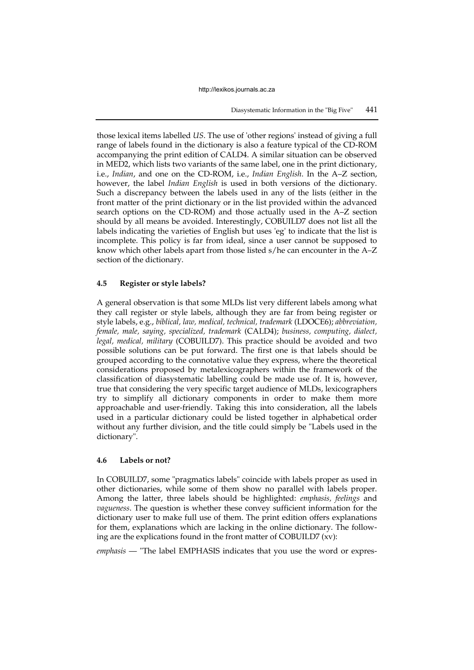those lexical items labelled *US*. The use of 'other regions' instead of giving a full range of labels found in the dictionary is also a feature typical of the CD-ROM accompanying the print edition of CALD4. A similar situation can be observed in MED2, which lists two variants of the same label, one in the print dictionary, i.e., *Indian*, and one on the CD-ROM, i.e., *Indian English*. In the A–Z section, however, the label *Indian English* is used in both versions of the dictionary. Such a discrepancy between the labels used in any of the lists (either in the front matter of the print dictionary or in the list provided within the advanced search options on the CD-ROM) and those actually used in the A–Z section should by all means be avoided. Interestingly, COBUILD7 does not list all the labels indicating the varieties of English but uses 'eg' to indicate that the list is incomplete. This policy is far from ideal, since a user cannot be supposed to know which other labels apart from those listed s/he can encounter in the A–Z section of the dictionary.

## **4.5 Register or style labels?**

A general observation is that some MLDs list very different labels among what they call register or style labels, although they are far from being register or style labels, e.g., *biblical, law, medical, technical, trademark* (LDOCE6); *abbreviation, female, male, saying, specialized, trademark* (CALD4); *business, computing, dialect, legal, medical, military* (COBUILD7). This practice should be avoided and two possible solutions can be put forward. The first one is that labels should be grouped according to the connotative value they express, where the theoretical considerations proposed by metalexicographers within the framework of the classification of diasystematic labelling could be made use of. It is, however, true that considering the very specific target audience of MLDs, lexicographers try to simplify all dictionary components in order to make them more approachable and user-friendly. Taking this into consideration, all the labels used in a particular dictionary could be listed together in alphabetical order without any further division, and the title could simply be "Labels used in the dictionary".

## **4.6 Labels or not?**

In COBUILD7, some "pragmatics labels" coincide with labels proper as used in other dictionaries, while some of them show no parallel with labels proper. Among the latter, three labels should be highlighted: *emphasis, feelings* and *vagueness*. The question is whether these convey sufficient information for the dictionary user to make full use of them. The print edition offers explanations for them, explanations which are lacking in the online dictionary. The following are the explications found in the front matter of COBUILD7 (xv):

*emphasis* — "The label EMPHASIS indicates that you use the word or expres-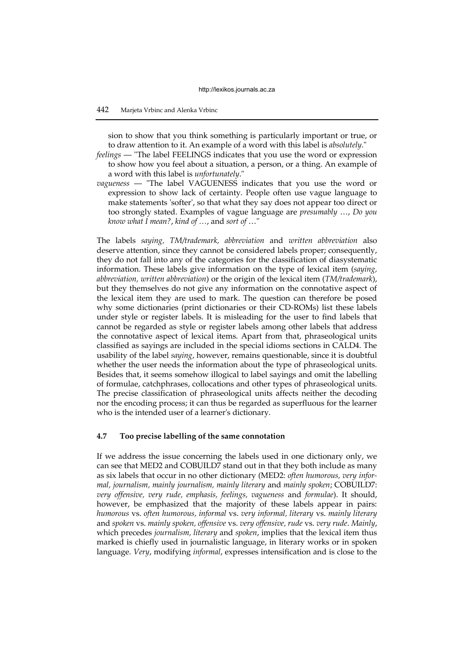sion to show that you think something is particularly important or true, or to draw attention to it. An example of a word with this label is *absolutely*."

- *feelings* "The label FEELINGS indicates that you use the word or expression to show how you feel about a situation, a person, or a thing. An example of a word with this label is *unfortunately*."
- *vagueness* "The label VAGUENESS indicates that you use the word or expression to show lack of certainty. People often use vague language to make statements 'softer', so that what they say does not appear too direct or too strongly stated. Examples of vague language are *presumably* …, *Do you know what I mean?*, *kind of …*, and *sort of* …"

The labels *saying, TM/trademark, abbreviation* and *written abbreviation* also deserve attention, since they cannot be considered labels proper; consequently, they do not fall into any of the categories for the classification of diasystematic information. These labels give information on the type of lexical item (*saying, abbreviation, written abbreviation*) or the origin of the lexical item (*TM/trademark*), but they themselves do not give any information on the connotative aspect of the lexical item they are used to mark. The question can therefore be posed why some dictionaries (print dictionaries or their CD-ROMs) list these labels under style or register labels. It is misleading for the user to find labels that cannot be regarded as style or register labels among other labels that address the connotative aspect of lexical items. Apart from that, phraseological units classified as sayings are included in the special idioms sections in CALD4. The usability of the label *saying*, however, remains questionable, since it is doubtful whether the user needs the information about the type of phraseological units. Besides that, it seems somehow illogical to label sayings and omit the labelling of formulae, catchphrases, collocations and other types of phraseological units. The precise classification of phraseological units affects neither the decoding nor the encoding process; it can thus be regarded as superfluous for the learner who is the intended user of a learner's dictionary.

#### **4.7 Too precise labelling of the same connotation**

If we address the issue concerning the labels used in one dictionary only, we can see that MED2 and COBUILD7 stand out in that they both include as many as six labels that occur in no other dictionary (MED2: *often humorous, very informal, journalism, mainly journalism, mainly literary* and *mainly spoken*; COBUILD7: *very offensive, very rude, emphasis, feelings, vagueness* and *formulae*). It should, however, be emphasized that the majority of these labels appear in pairs: *humorous* vs. *often humorous, informal* vs. *very informal, literary* vs. *mainly literary*  and *spoken* vs. *mainly spoken, offensive* vs. *very offensive, rude* vs. *very rude*. *Mainly*, which precedes *journalism, literary* and *spoken*, implies that the lexical item thus marked is chiefly used in journalistic language, in literary works or in spoken language. *Very*, modifying *informal*, expresses intensification and is close to the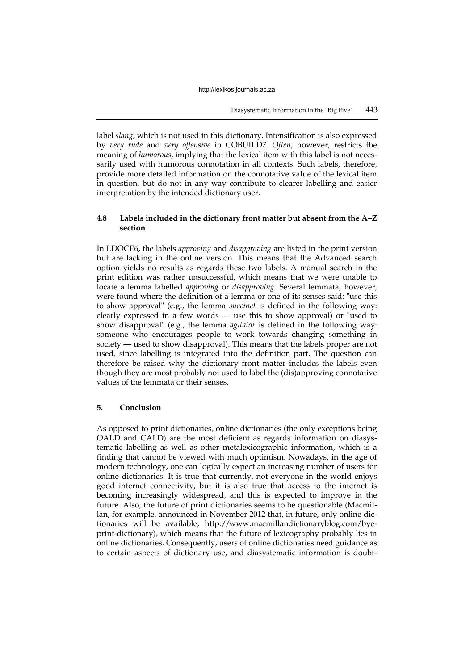label *slang*, which is not used in this dictionary. Intensification is also expressed by *very rude* and *very offensive* in COBUILD7. *Often*, however, restricts the meaning of *humorous*, implying that the lexical item with this label is not necessarily used with humorous connotation in all contexts. Such labels, therefore, provide more detailed information on the connotative value of the lexical item in question, but do not in any way contribute to clearer labelling and easier interpretation by the intended dictionary user.

# **4.8 Labels included in the dictionary front matter but absent from the A–Z section**

In LDOCE6, the labels *approving* and *disapproving* are listed in the print version but are lacking in the online version. This means that the Advanced search option yields no results as regards these two labels. A manual search in the print edition was rather unsuccessful, which means that we were unable to locate a lemma labelled *approving* or *disapproving*. Several lemmata, however, were found where the definition of a lemma or one of its senses said: "use this to show approval" (e.g., the lemma *succinct* is defined in the following way: clearly expressed in a few words — use this to show approval) or "used to show disapproval" (e.g., the lemma *agitator* is defined in the following way: someone who encourages people to work towards changing something in society — used to show disapproval). This means that the labels proper are not used, since labelling is integrated into the definition part. The question can therefore be raised why the dictionary front matter includes the labels even though they are most probably not used to label the (dis)approving connotative values of the lemmata or their senses.

## **5. Conclusion**

As opposed to print dictionaries, online dictionaries (the only exceptions being OALD and CALD) are the most deficient as regards information on diasystematic labelling as well as other metalexicographic information, which is a finding that cannot be viewed with much optimism. Nowadays, in the age of modern technology, one can logically expect an increasing number of users for online dictionaries. It is true that currently, not everyone in the world enjoys good internet connectivity, but it is also true that access to the internet is becoming increasingly widespread, and this is expected to improve in the future. Also, the future of print dictionaries seems to be questionable (Macmillan, for example, announced in November 2012 that, in future, only online dictionaries will be available; http://www.macmillandictionaryblog.com/byeprint-dictionary), which means that the future of lexicography probably lies in online dictionaries. Consequently, users of online dictionaries need guidance as to certain aspects of dictionary use, and diasystematic information is doubt-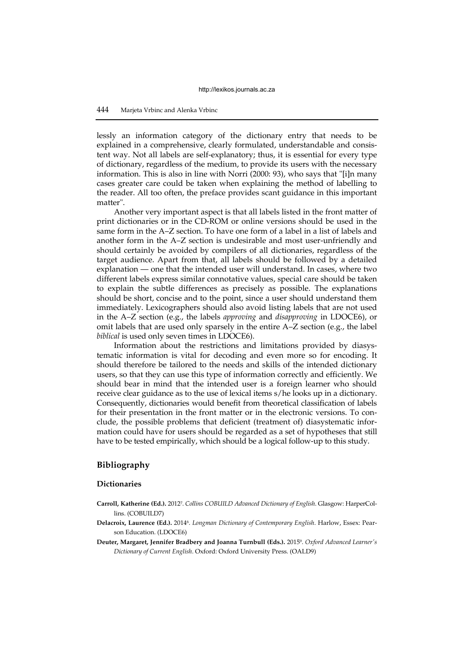lessly an information category of the dictionary entry that needs to be explained in a comprehensive, clearly formulated, understandable and consistent way. Not all labels are self-explanatory; thus, it is essential for every type of dictionary, regardless of the medium, to provide its users with the necessary information. This is also in line with Norri (2000: 93), who says that "[i]n many cases greater care could be taken when explaining the method of labelling to the reader. All too often, the preface provides scant guidance in this important matter".

Another very important aspect is that all labels listed in the front matter of print dictionaries or in the CD-ROM or online versions should be used in the same form in the A–Z section. To have one form of a label in a list of labels and another form in the A–Z section is undesirable and most user-unfriendly and should certainly be avoided by compilers of all dictionaries, regardless of the target audience. Apart from that, all labels should be followed by a detailed explanation — one that the intended user will understand. In cases, where two different labels express similar connotative values, special care should be taken to explain the subtle differences as precisely as possible. The explanations should be short, concise and to the point, since a user should understand them immediately. Lexicographers should also avoid listing labels that are not used in the A–Z section (e.g., the labels *approving* and *disapproving* in LDOCE6), or omit labels that are used only sparsely in the entire A–Z section (e.g., the label *biblical* is used only seven times in LDOCE6).

Information about the restrictions and limitations provided by diasystematic information is vital for decoding and even more so for encoding. It should therefore be tailored to the needs and skills of the intended dictionary users, so that they can use this type of information correctly and efficiently. We should bear in mind that the intended user is a foreign learner who should receive clear guidance as to the use of lexical items s/he looks up in a dictionary. Consequently, dictionaries would benefit from theoretical classification of labels for their presentation in the front matter or in the electronic versions. To conclude, the possible problems that deficient (treatment of) diasystematic information could have for users should be regarded as a set of hypotheses that still have to be tested empirically, which should be a logical follow-up to this study.

# **Bibliography**

#### **Dictionaries**

- **Carroll, Katherine (Ed.).** 2012<sup>7</sup> . *Collins COBUILD Advanced Dictionary of English*. Glasgow: HarperCollins. (COBUILD7)
- **Delacroix, Laurence (Ed.).** 2014<sup>6</sup> . *Longman Dictionary of Contemporary English*. Harlow, Essex: Pearson Education. (LDOCE6)
- **Deuter, Margaret, Jennifer Bradbery and Joanna Turnbull (Eds.).** 2015<sup>9</sup> . *Oxford Advanced Learner's Dictionary of Current English*. Oxford: Oxford University Press. (OALD9)